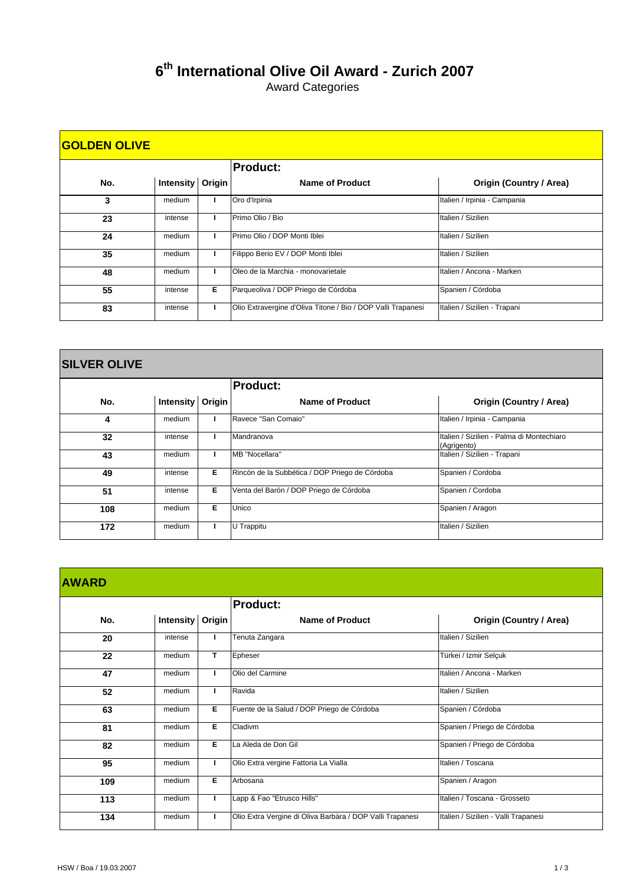## **th International Olive Oil Award - Zurich 2007**

Award Categories

| <b>GOLDEN OLIVE</b> |                    |   |                                                              |                                |  |  |
|---------------------|--------------------|---|--------------------------------------------------------------|--------------------------------|--|--|
|                     |                    |   | <b>Product:</b>                                              |                                |  |  |
| No.                 | Intensity   Origin |   | Name of Product                                              | <b>Origin (Country / Area)</b> |  |  |
| 3                   | medium             |   | Oro d'Irpinia                                                | Italien / Irpinia - Campania   |  |  |
| 23                  | intense            |   | Primo Olio / Bio                                             | Italien / Sizilien             |  |  |
| 24                  | medium             |   | Primo Olio / DOP Monti Iblei                                 | Italien / Sizilien             |  |  |
| 35                  | medium             |   | Filippo Berio EV / DOP Monti Iblei                           | Italien / Sizilien             |  |  |
| 48                  | medium             |   | Oleo de la Marchia - monovarietale                           | Italien / Ancona - Marken      |  |  |
| 55                  | intense            | Е | Parqueoliva / DOP Priego de Córdoba                          | Spanien / Córdoba              |  |  |
| 83                  | intense            |   | Olio Extravergine d'Oliva Titone / Bio / DOP Valli Trapanesi | Italien / Sizilien - Trapani   |  |  |

| <b>SILVER OLIVE</b> |  |  |
|---------------------|--|--|
|                     |  |  |

 $\mathbf{r}$ 

|     |                    |   | <b>Product:</b>                                |                                                          |
|-----|--------------------|---|------------------------------------------------|----------------------------------------------------------|
| No. | Intensity   Origin |   | Name of Product                                | <b>Origin (Country / Area)</b>                           |
| 4   | medium             |   | Ravece "San Comaio"                            | Italien / Irpinia - Campania                             |
| 32  | intense            |   | Mandranova                                     | Italien / Sizilien - Palma di Montechiaro<br>(Agrigento) |
| 43  | medium             |   | MB "Nocellara"                                 | Italien / Sizilien - Trapani                             |
| 49  | intense            | Е | Rincón de la Subbética / DOP Priego de Córdoba | Spanien / Cordoba                                        |
| 51  | intense            | Е | Venta del Barón / DOP Priego de Córdoba        | Spanien / Cordoba                                        |
| 108 | medium             | Е | Unico                                          | Spanien / Aragon                                         |
| 172 | medium             |   | U Trappitu                                     | Italien / Sizilien                                       |

|     |                    |   | <b>Product:</b>                                           |                                      |
|-----|--------------------|---|-----------------------------------------------------------|--------------------------------------|
| No. | Intensity   Origin |   | Name of Product                                           | Origin (Country / Area)              |
| 20  | intense            |   | Tenuta Zangara                                            | Italien / Sizilien                   |
| 22  | medium             | T | Epheser                                                   | Türkei / Izmir Selçuk                |
| 47  | medium             | п | Olio del Carmine                                          | Italien / Ancona - Marken            |
| 52  | medium             | т | Ravida                                                    | Italien / Sizilien                   |
| 63  | medium             | E | Fuente de la Salud / DOP Priego de Córdoba                | Spanien / Córdoba                    |
| 81  | medium             | Е | Cladivm                                                   | Spanien / Priego de Córdoba          |
| 82  | medium             | E | La Aleda de Don Gil                                       | Spanien / Priego de Córdoba          |
| 95  | medium             | L | Olio Extra vergine Fattoria La Vialla                     | Italien / Toscana                    |
| 109 | medium             | Е | Arbosana                                                  | Spanien / Aragon                     |
| 113 | medium             | L | Lapp & Fao "Etrusco Hills"                                | Italien / Toscana - Grosseto         |
| 134 | medium             | ı | Olio Extra Vergine di Oliva Barbàra / DOP Valli Trapanesi | Italien / Sizilien - Valli Trapanesi |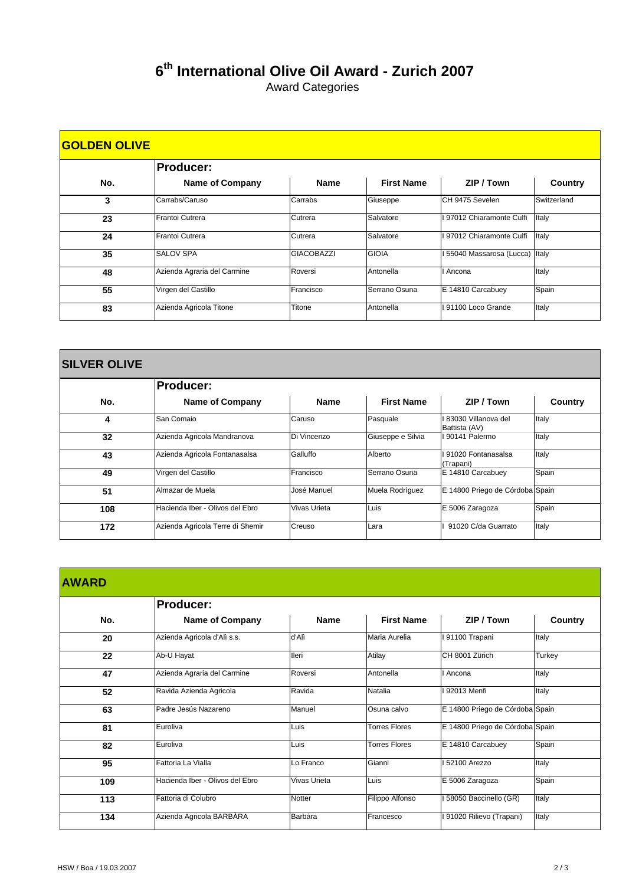## **6th International Olive Oil Award - Zurich 2007**

Award Categories

| <b>GOLDEN OLIVE</b> |                             |                   |                   |                         |             |  |  |
|---------------------|-----------------------------|-------------------|-------------------|-------------------------|-------------|--|--|
|                     | <b>Producer:</b>            |                   |                   |                         |             |  |  |
| No.                 | <b>Name of Company</b>      | <b>Name</b>       | <b>First Name</b> | ZIP / Town              | Country     |  |  |
| 3                   | Carrabs/Caruso              | Carrabs           | Giuseppe          | CH 9475 Sevelen         | Switzerland |  |  |
| 23                  | Frantoi Cutrera             | Cutrera           | Salvatore         | 97012 Chiaramonte Culfi | Italy       |  |  |
| 24                  | Frantoi Cutrera             | Cutrera           | Salvatore         | 97012 Chiaramonte Culfi | Italy       |  |  |
| 35                  | <b>SALOV SPA</b>            | <b>GIACOBAZZI</b> | <b>GIOIA</b>      | 55040 Massarosa (Lucca) | Italy       |  |  |
| 48                  | Azienda Agraria del Carmine | Roversi           | Antonella         | Ancona                  | Italy       |  |  |
| 55                  | Virgen del Castillo         | Francisco         | Serrano Osuna     | E 14810 Carcabuey       | Spain       |  |  |
| 83                  | Azienda Agricola Titone     | Titone            | Antonella         | 91100 Loco Grande       | Italy       |  |  |

| <b>SILVER OLIVE</b> |                                  |              |                   |                                      |         |  |  |
|---------------------|----------------------------------|--------------|-------------------|--------------------------------------|---------|--|--|
|                     | <b>Producer:</b>                 |              |                   |                                      |         |  |  |
| No.                 | <b>Name of Company</b>           | <b>Name</b>  | <b>First Name</b> | ZIP / Town                           | Country |  |  |
| 4                   | San Comaio                       | Caruso       | Pasquale          | 83030 Villanova del<br>Battista (AV) | Italy   |  |  |
| 32                  | Azienda Agricola Mandranova      | Di Vincenzo  | Giuseppe e Silvia | I 90141 Palermo                      | Italy   |  |  |
| 43                  | Azienda Agricola Fontanasalsa    | Galluffo     | Alberto           | I 91020 Fontanasalsa<br>(Trapani)    | Italy   |  |  |
| 49                  | Virgen del Castillo              | Francisco    | Serrano Osuna     | E 14810 Carcabuey                    | Spain   |  |  |
| 51                  | Almazar de Muela                 | José Manuel  | Muela Rodríguez   | E 14800 Priego de Córdoba Spain      |         |  |  |
| 108                 | Hacienda Iber - Olivos del Ebro  | Vivas Urieta | Luis              | E 5006 Zaragoza                      | Spain   |  |  |
| 172                 | Azienda Agricola Terre di Shemir | Creuso       | Lara              | 91020 C/da Guarrato                  | Italy   |  |  |

| <b>AWARD</b> |                                 |               |                      |                                 |                |
|--------------|---------------------------------|---------------|----------------------|---------------------------------|----------------|
|              | <b>Producer:</b>                |               |                      |                                 |                |
| No.          | <b>Name of Company</b>          | <b>Name</b>   | <b>First Name</b>    | ZIP / Town                      | <b>Country</b> |
| 20           | Azienda Agricola d'Alì s.s.     | d'Alì         | Maria Aurelia        | I 91100 Trapani                 | Italy          |
| 22           | Ab-U Hayat                      | Ileri         | Atilay               | CH 8001 Zürich                  | Turkey         |
| 47           | Azienda Agraria del Carmine     | Roversi       | Antonella            | I Ancona                        | Italy          |
| 52           | Ravida Azienda Agricola         | Ravida        | Natalia              | I 92013 Menfi                   | Italy          |
| 63           | Padre Jesús Nazareno            | Manuel        | Osuna calvo          | E 14800 Priego de Córdoba Spain |                |
| 81           | Euroliva                        | Luis          | <b>Torres Flores</b> | E 14800 Priego de Córdoba Spain |                |
| 82           | Euroliva                        | Luis          | <b>Torres Flores</b> | E 14810 Carcabuey               | Spain          |
| 95           | Fattoria La Vialla              | Lo Franco     | Gianni               | 52100 Arezzo                    | Italy          |
| 109          | Hacienda Iber - Olivos del Ebro | Vivas Urieta  | Luis                 | E 5006 Zaragoza                 | Spain          |
| 113          | Fattoria di Colubro             | <b>Notter</b> | Filippo Alfonso      | I 58050 Baccinello (GR)         | Italy          |
| 134          | Azienda Agricola BARBÀRA        | Barbàra       | Francesco            | I 91020 Rilievo (Trapani)       | Italy          |